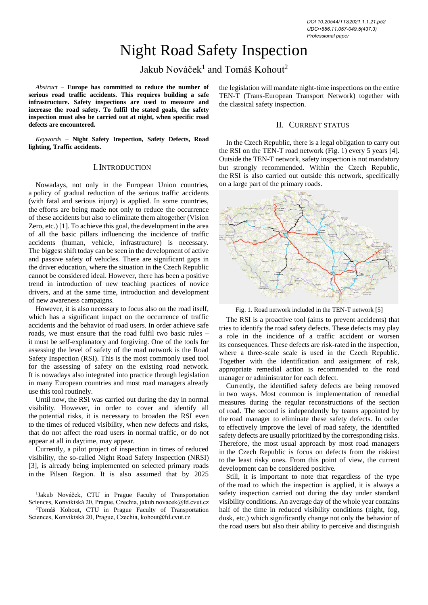# Night Road Safety Inspection

Jakub Nováček $^1$  and Tomáš Kohout $^2$ 

*Abstract –* **Europe has committed to reduce the number of serious road traffic accidents. This requires building a safe infrastructure. Safety inspections are used to measure and increase the road safety. To fulfil the stated goals, the safety inspection must also be carried out at night, when specific road defects are encountered.**

*Keywords –* **Night Safety Inspection, Safety Defects, Road lighting, Traffic accidents.**

#### I.INTRODUCTION

Nowadays, not only in the European Union countries, a policy of gradual reduction of the serious traffic accidents (with fatal and serious injury) is applied. In some countries, the efforts are being made not only to reduce the occurrence of these accidents but also to eliminate them altogether (Vision Zero, etc.) [1]. To achieve this goal, the development in the area of all the basic pillars influencing the incidence of traffic accidents (human, vehicle, infrastructure) is necessary. The biggest shift today can be seen in the development of active and passive safety of vehicles. There are significant gaps in the driver education, where the situation in the Czech Republic cannot be considered ideal. However, there has been a positive trend in introduction of new teaching practices of novice drivers, and at the same time, introduction and development of new awareness campaigns.

However, it is also necessary to focus also on the road itself, which has a significant impact on the occurrence of traffic accidents and the behavior of road users. In order achieve safe roads, we must ensure that the road fulfil two basic rules – it must be self-explanatory and forgiving. One of the tools for assessing the level of safety of the road network is the Road Safety Inspection (RSI). This is the most commonly used tool for the assessing of safety on the existing road network. It is nowadays also integrated into practice through legislation in many European countries and most road managers already use this tool routinely.

Until now, the RSI was carried out during the day in normal visibility. However, in order to cover and identify all the potential risks, it is necessary to broaden the RSI even to the times of reduced visibility, when new defects and risks, that do not affect the road users in normal traffic, or do not appear at all in daytime, may appear.

Currently, a pilot project of inspection in times of reduced visibility, the so-called Night Road Safety Inspection (NRSI) [3], is already being implemented on selected primary roads in the Pilsen Region. It is also assumed that by 2025

1 Jakub Nováček, CTU in Prague Faculty of Transportation Sciences, Konviktská 20, Prague, Czechia, jakub.novacek@fd.cvut.cz <sup>2</sup>Tomáš Kohout, CTU in Prague Faculty of Transportation

Sciences, Konviktská 20, Prague, Czechia, kohout@fd.cvut.cz

the legislation will mandate night-time inspections on the entire TEN-T (Trans-European Transport Network) together with the classical safety inspection.

# II. CURRENT STATUS

In the Czech Republic, there is a legal obligation to carry out the RSI on the TEN-T road network (Fig. 1) every 5 years [4]. Outside the TEN-T network, safety inspection is not mandatory but strongly recommended. Within the Czech Republic, the RSI is also carried out outside this network, specifically on a large part of the primary roads.



Fig. 1. Road network included in the TEN-T network [5]

The RSI is a proactive tool (aims to prevent accidents) that tries to identify the road safety defects. These defects may play a role in the incidence of a traffic accident or worsen its consequences. These defects are risk-rated in the inspection, where a three-scale scale is used in the Czech Republic. Together with the identification and assignment of risk, appropriate remedial action is recommended to the road manager or administrator for each defect.

Currently, the identified safety defects are being removed in two ways. Most common is implementation of remedial measures during the regular reconstructions of the section of road. The second is independently by teams appointed by the road manager to eliminate these safety defects. In order to effectively improve the level of road safety, the identified safety defects are usually prioritized by the corresponding risks. Therefore, the most usual approach by most road managers in the Czech Republic is focus on defects from the riskiest to the least risky ones. From this point of view, the current development can be considered positive.

Still, it is important to note that regardless of the type of the road to which the inspection is applied, it is always a safety inspection carried out during the day under standard visibility conditions. An average day of the whole year contains half of the time in reduced visibility conditions (night, fog, dusk, etc.) which significantly change not only the behavior of the road users but also their ability to perceive and distinguish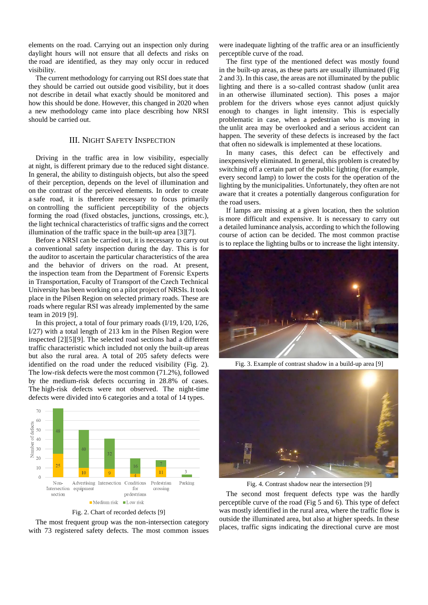elements on the road. Carrying out an inspection only during daylight hours will not ensure that all defects and risks on the road are identified, as they may only occur in reduced visibility.

The current methodology for carrying out RSI does state that they should be carried out outside good visibility, but it does not describe in detail what exactly should be monitored and how this should be done. However, this changed in 2020 when a new methodology came into place describing how NRSI should be carried out.

# III. NIGHT SAFETY INSPECTION

Driving in the traffic area in low visibility, especially at night, is different primary due to the reduced sight distance. In general, the ability to distinguish objects, but also the speed of their perception, depends on the level of illumination and on the contrast of the perceived elements. In order to create a safe road, it is therefore necessary to focus primarily on controlling the sufficient perceptibility of the objects forming the road (fixed obstacles, junctions, crossings, etc.), the light technical characteristics of traffic signs and the correct illumination of the traffic space in the built-up area [3][7].

Before a NRSI can be carried out, it is necessary to carry out a conventional safety inspection during the day. This is for the auditor to ascertain the particular characteristics of the area and the behavior of drivers on the road. At present, the inspection team from the Department of Forensic Experts in Transportation, Faculty of Transport of the Czech Technical University has been working on a pilot project of NRSIs. It took place in the Pilsen Region on selected primary roads. These are roads where regular RSI was already implemented by the same team in 2019 [9].

In this project, a total of four primary roads (I/19, I/20, I/26, I/27) with a total length of 213 km in the Pilsen Region were inspected [2][5][9]. The selected road sections had a different traffic characteristic which included not only the built-up areas but also the rural area. A total of 205 safety defects were identified on the road under the reduced visibility (Fig. 2). The low-risk defects were the most common (71.2%), followed by the medium-risk defects occurring in 28.8% of cases. The high-risk defects were not observed. The night-time defects were divided into 6 categories and a total of 14 types.



Fig. 2. Chart of recorded defects [9]

The most frequent group was the non-intersection category with 73 registered safety defects. The most common issues

were inadequate lighting of the traffic area or an insufficiently perceptible curve of the road.

The first type of the mentioned defect was mostly found in the built-up areas, as these parts are usually illuminated (Fig 2 and 3). In this case, the areas are not illuminated by the public lighting and there is a so-called contrast shadow (unlit area in an otherwise illuminated section). This poses a major problem for the drivers whose eyes cannot adjust quickly enough to changes in light intensity. This is especially problematic in case, when a pedestrian who is moving in the unlit area may be overlooked and a serious accident can happen. The severity of these defects is increased by the fact that often no sidewalk is implemented at these locations.

In many cases, this defect can be effectively and inexpensively eliminated. In general, this problem is created by switching off a certain part of the public lighting (for example, every second lamp) to lower the costs for the operation of the lighting by the municipalities. Unfortunately, they often are not aware that it creates a potentially dangerous configuration for the road users.

If lamps are missing at a given location, then the solution is more difficult and expensive. It is necessary to carry out a detailed luminance analysis, according to which the following course of action can be decided. The most common practise is to replace the lighting bulbs or to increase the light intensity.



Fig. 3. Example of contrast shadow in a build-up area [9]



Fig. 4. Contrast shadow near the intersection [9]

The second most frequent defects type was the hardly perceptible curve of the road (Fig 5 and 6). This type of defect was mostly identified in the rural area, where the traffic flow is outside the illuminated area, but also at higher speeds. In these places, traffic signs indicating the directional curve are most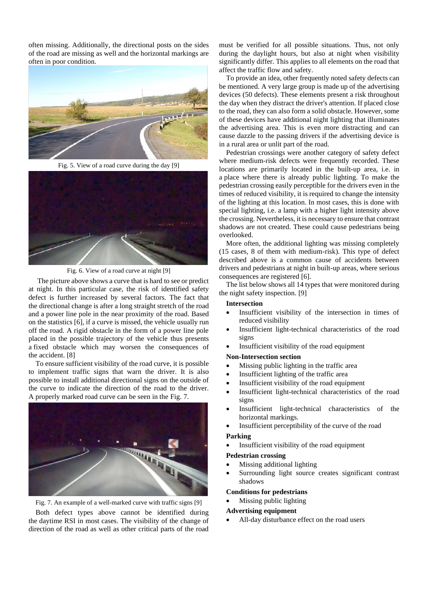often missing. Additionally, the directional posts on the sides of the road are missing as well and the horizontal markings are often in poor condition.



Fig. 5. View of a road curve during the day [9]



Fig. 6. View of a road curve at night [9]

The picture above shows a curve that is hard to see or predict at night. In this particular case, the risk of identified safety defect is further increased by several factors. The fact that the directional change is after a long straight stretch of the road and a power line pole in the near proximity of the road. Based on the statistics [6], if a curve is missed, the vehicle usually run off the road. A rigid obstacle in the form of a power line pole placed in the possible trajectory of the vehicle thus presents a fixed obstacle which may worsen the consequences of the accident. [8]

To ensure sufficient visibility of the road curve, it is possible to implement traffic signs that warn the driver. It is also possible to install additional directional signs on the outside of the curve to indicate the direction of the road to the driver. A properly marked road curve can be seen in the Fig. 7.



Fig. 7. An example of a well-marked curve with traffic signs [9]

Both defect types above cannot be identified during the daytime RSI in most cases. The visibility of the change of direction of the road as well as other critical parts of the road must be verified for all possible situations. Thus, not only during the daylight hours, but also at night when visibility significantly differ. This applies to all elements on the road that affect the traffic flow and safety.

To provide an idea, other frequently noted safety defects can be mentioned. A very large group is made up of the advertising devices (50 defects). These elements present a risk throughout the day when they distract the driver's attention. If placed close to the road, they can also form a solid obstacle. However, some of these devices have additional night lighting that illuminates the advertising area. This is even more distracting and can cause dazzle to the passing drivers if the advertising device is in a rural area or unlit part of the road.

Pedestrian crossings were another category of safety defect where medium-risk defects were frequently recorded. These locations are primarily located in the built-up area, i.e. in a place where there is already public lighting. To make the pedestrian crossing easily perceptible for the drivers even in the times of reduced visibility, it is required to change the intensity of the lighting at this location. In most cases, this is done with special lighting, i.e. a lamp with a higher light intensity above the crossing. Nevertheless, it is necessary to ensure that contrast shadows are not created. These could cause pedestrians being overlooked.

More often, the additional lighting was missing completely (15 cases, 8 of them with medium-risk). This type of defect described above is a common cause of accidents between drivers and pedestrians at night in built-up areas, where serious consequences are registered [6].

The list below shows all 14 types that were monitored during the night safety inspection. [9]

#### **Intersection**

- Insufficient visibility of the intersection in times of reduced visibility
- Insufficient light-technical characteristics of the road signs
- Insufficient visibility of the road equipment

## **Non-Intersection section**

- Missing public lighting in the traffic area
- Insufficient lighting of the traffic area
- Insufficient visibility of the road equipment
- Insufficient light-technical characteristics of the road signs
- Insufficient light-technical characteristics of the horizontal markings.
- Insufficient perceptibility of the curve of the road

## **Parking**

• Insufficient visibility of the road equipment

#### **Pedestrian crossing**

- Missing additional lighting
- Surrounding light source creates significant contrast shadows

## **Conditions for pedestrians**

Missing public lighting

#### **Advertising equipment**

• All-day disturbance effect on the road users